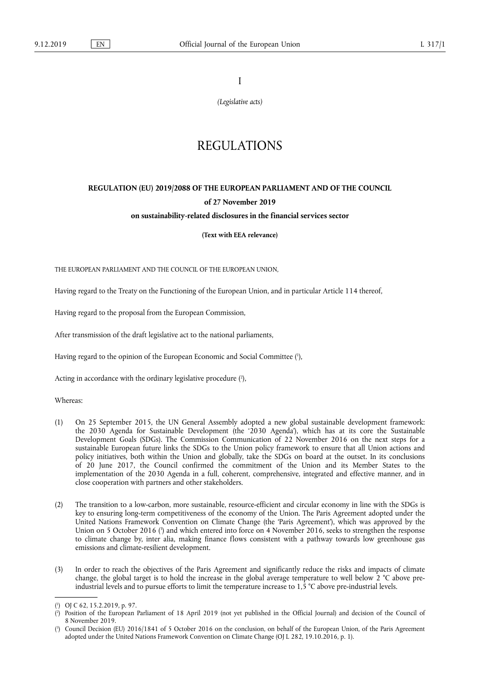I

*(Legislative acts)* 

# REGULATIONS

# **REGULATION (EU) 2019/2088 OF THE EUROPEAN PARLIAMENT AND OF THE COUNCIL of 27 November 2019**

# **on sustainability‐related disclosures in the financial services sector**

**(Text with EEA relevance)** 

THE EUROPEAN PARLIAMENT AND THE COUNCIL OF THE EUROPEAN UNION,

Having regard to the Treaty on the Functioning of the European Union, and in particular Article 114 thereof,

Having regard to the proposal from the European Commission,

After transmission of the draft legislative act to the national parliaments,

Having regard to the opinion of the European Economic and Social Committee ( 1 ),

Acting in accordance with the ordinary legislative procedure ( 2 ),

Whereas:

- (1) On 25 September 2015, the UN General Assembly adopted a new global sustainable development framework: the 2030 Agenda for Sustainable Development (the '2030 Agenda'), which has at its core the Sustainable Development Goals (SDGs). The Commission Communication of 22 November 2016 on the next steps for a sustainable European future links the SDGs to the Union policy framework to ensure that all Union actions and policy initiatives, both within the Union and globally, take the SDGs on board at the outset. In its conclusions of 20 June 2017, the Council confirmed the commitment of the Union and its Member States to the implementation of the 2030 Agenda in a full, coherent, comprehensive, integrated and effective manner, and in close cooperation with partners and other stakeholders.
- (2) The transition to a low‐carbon, more sustainable, resource‐efficient and circular economy in line with the SDGs is key to ensuring long-term competitiveness of the economy of the Union. The Paris Agreement adopted under the United Nations Framework Convention on Climate Change (the 'Paris Agreement'), which was approved by the Union on 5 October 2016 (<sup>3</sup>) and which entered into force on 4 November 2016, seeks to strengthen the response to climate change by, inter alia, making finance flows consistent with a pathway towards low greenhouse gas emissions and climate‐resilient development.
- (3) In order to reach the objectives of the Paris Agreement and significantly reduce the risks and impacts of climate change, the global target is to hold the increase in the global average temperature to well below 2 °C above preindustrial levels and to pursue efforts to limit the temperature increase to  $1,\bar{5}$  °C above pre-industrial levels.

<sup>(</sup> 1 ) OJ C 62, 15.2.2019, p. 97.

<sup>(</sup> 2 ) Position of the European Parliament of 18 April 2019 (not yet published in the Official Journal) and decision of the Council of 8 November 2019.

<sup>(</sup> 3 ) Council Decision (EU) 2016/1841 of 5 October 2016 on the conclusion, on behalf of the European Union, of the Paris Agreement adopted under the United Nations Framework Convention on Climate Change (OJ L 282, 19.10.2016, p. 1).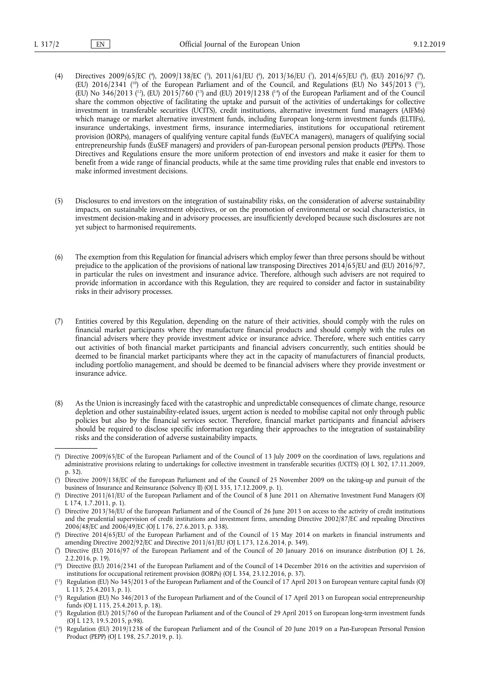- (4) Directives 2009/65/EC (\*), 2009/138/EC (\*), 2011/61/EU (\*), 2013/36/EU (\*), 2014/65/EU (\*), (EU) 2016/97 (\*), (EU) 2016/2341 ( $^{10}$ ) of the European Parliament and of the Council, and Regulations (EU) No 345/2013 ( $^{11}$ ), (EU) No 346/2013 (<sup>12</sup>), (EU) 2015/760 (<sup>13</sup>) and (EU) 2019/1238 (<sup>14</sup>) of the European Parliament and of the Council share the common objective of facilitating the uptake and pursuit of the activities of undertakings for collective investment in transferable securities (UCITS), credit institutions, alternative investment fund managers (AIFMs) which manage or market alternative investment funds, including European long-term investment funds (ELTIFs), insurance undertakings, investment firms, insurance intermediaries, institutions for occupational retirement provision (IORPs), managers of qualifying venture capital funds (EuVECA managers), managers of qualifying social entrepreneurship funds (EuSEF managers) and providers of pan-European personal pension products (PEPPs). Those Directives and Regulations ensure the more uniform protection of end investors and make it easier for them to benefit from a wide range of financial products, while at the same time providing rules that enable end investors to make informed investment decisions.
- (5) Disclosures to end investors on the integration of sustainability risks, on the consideration of adverse sustainability impacts, on sustainable investment objectives, or on the promotion of environmental or social characteristics, in investment decision‐making and in advisory processes, are insufficiently developed because such disclosures are not yet subject to harmonised requirements.
- (6) The exemption from this Regulation for financial advisers which employ fewer than three persons should be without prejudice to the application of the provisions of national law transposing Directives 2014/65/EU and (EU) 2016/97, in particular the rules on investment and insurance advice. Therefore, although such advisers are not required to provide information in accordance with this Regulation, they are required to consider and factor in sustainability risks in their advisory processes.
- (7) Entities covered by this Regulation, depending on the nature of their activities, should comply with the rules on financial market participants where they manufacture financial products and should comply with the rules on financial advisers where they provide investment advice or insurance advice. Therefore, where such entities carry out activities of both financial market participants and financial advisers concurrently, such entities should be deemed to be financial market participants where they act in the capacity of manufacturers of financial products, including portfolio management, and should be deemed to be financial advisers where they provide investment or insurance advice.
- (8) As the Union is increasingly faced with the catastrophic and unpredictable consequences of climate change, resource depletion and other sustainability-related issues, urgent action is needed to mobilise capital not only through public policies but also by the financial services sector. Therefore, financial market participants and financial advisers should be required to disclose specific information regarding their approaches to the integration of sustainability risks and the consideration of adverse sustainability impacts.

<sup>(</sup> 4 ) Directive 2009/65/EC of the European Parliament and of the Council of 13 July 2009 on the coordination of laws, regulations and administrative provisions relating to undertakings for collective investment in transferable securities (UCITS) (OJ L 302, 17.11.2009, p. 32).

<sup>(</sup> 5 ) Directive 2009/138/EC of the European Parliament and of the Council of 25 November 2009 on the taking-up and pursuit of the business of Insurance and Reinsurance (Solvency II) (OJ L 335, 17.12.2009, p. 1).

<sup>(</sup> 6 ) Directive 2011/61/EU of the European Parliament and of the Council of 8 June 2011 on Alternative Investment Fund Managers (OJ L 174, 1.7.2011, p. 1).

<sup>(</sup> 7 ) Directive 2013/36/EU of the European Parliament and of the Council of 26 June 2013 on access to the activity of credit institutions and the prudential supervision of credit institutions and investment firms, amending Directive 2002/87/EC and repealing Directives 2006/48/EC and 2006/49/EC (OJ L 176, 27.6.2013, p. 338).

<sup>(</sup> 8 ) Directive 2014/65/EU of the European Parliament and of the Council of 15 May 2014 on markets in financial instruments and amending Directive 2002/92/EC and Directive 2011/61/EU (OJ L 173, 12.6.2014, p. 349).

<sup>(</sup> 9 ) Directive (EU) 2016/97 of the European Parliament and of the Council of 20 January 2016 on insurance distribution (OJ L 26, 2.2.2016, p. 19).

<sup>(</sup> 10) Directive (EU) 2016/2341 of the European Parliament and of the Council of 14 December 2016 on the activities and supervision of institutions for occupational retirement provision (IORPs) (OJ L 354, 23.12.2016, p. 37).

<sup>(</sup> 11) Regulation (EU) No 345/2013 of the European Parliament and of the Council of 17 April 2013 on European venture capital funds (OJ L 115, 25.4.2013, p. 1).

<sup>(</sup> 12) Regulation (EU) No 346/2013 of the European Parliament and of the Council of 17 April 2013 on European social entrepreneurship funds (OJ L 115, 25.4.2013, p. 18).

<sup>(</sup> 13) Regulation (EU) 2015/760 of the European Parliament and of the Council of 29 April 2015 on European long-term investment funds (OJ L 123, 19.5.2015, p.98).

<sup>(</sup> Regulation (EU) 2019/1238 of the European Parliament and of the Council of 20 June 2019 on a Pan-European Personal Pension Product (PEPP) (OJ L 198, 25.7.2019, p. 1).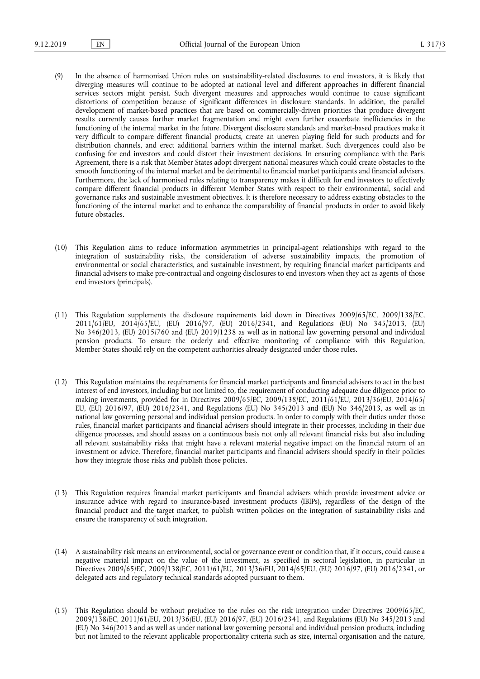- (9) In the absence of harmonised Union rules on sustainability-related disclosures to end investors, it is likely that diverging measures will continue to be adopted at national level and different approaches in different financial services sectors might persist. Such divergent measures and approaches would continue to cause significant distortions of competition because of significant differences in disclosure standards. In addition, the parallel development of market-based practices that are based on commercially-driven priorities that produce divergent results currently causes further market fragmentation and might even further exacerbate inefficiencies in the functioning of the internal market in the future. Divergent disclosure standards and market-based practices make it very difficult to compare different financial products, create an uneven playing field for such products and for distribution channels, and erect additional barriers within the internal market. Such divergences could also be confusing for end investors and could distort their investment decisions. In ensuring compliance with the Paris Agreement, there is a risk that Member States adopt divergent national measures which could create obstacles to the smooth functioning of the internal market and be detrimental to financial market participants and financial advisers. Furthermore, the lack of harmonised rules relating to transparency makes it difficult for end investors to effectively compare different financial products in different Member States with respect to their environmental, social and governance risks and sustainable investment objectives. It is therefore necessary to address existing obstacles to the functioning of the internal market and to enhance the comparability of financial products in order to avoid likely future obstacles.
- (10) This Regulation aims to reduce information asymmetries in principal‐agent relationships with regard to the integration of sustainability risks, the consideration of adverse sustainability impacts, the promotion of environmental or social characteristics, and sustainable investment, by requiring financial market participants and financial advisers to make pre-contractual and ongoing disclosures to end investors when they act as agents of those end investors (principals).
- (11) This Regulation supplements the disclosure requirements laid down in Directives 2009/65/EC, 2009/138/EC, 2011/61/EU, 2014/65/EU, (EU) 2016/97, (EU) 2016/2341, and Regulations (EU) No 345/2013, (EU) No 346/2013, (EU) 2015/760 and (EU) 2019/1238 as well as in national law governing personal and individual pension products. To ensure the orderly and effective monitoring of compliance with this Regulation, Member States should rely on the competent authorities already designated under those rules.
- (12) This Regulation maintains the requirements for financial market participants and financial advisers to act in the best interest of end investors, including but not limited to, the requirement of conducting adequate due diligence prior to making investments, provided for in Directives 2009/65/EC, 2009/138/EC, 2011/61/EU, 2013/36/EU, 2014/65/ EU, (EU) 2016/97, (EU) 2016/2341, and Regulations (EU) No 345/2013 and (EU) No 346/2013, as well as in national law governing personal and individual pension products. In order to comply with their duties under those rules, financial market participants and financial advisers should integrate in their processes, including in their due diligence processes, and should assess on a continuous basis not only all relevant financial risks but also including all relevant sustainability risks that might have a relevant material negative impact on the financial return of an investment or advice. Therefore, financial market participants and financial advisers should specify in their policies how they integrate those risks and publish those policies.
- (13) This Regulation requires financial market participants and financial advisers which provide investment advice or insurance advice with regard to insurance‐based investment products (IBIPs), regardless of the design of the financial product and the target market, to publish written policies on the integration of sustainability risks and ensure the transparency of such integration.
- (14) A sustainability risk means an environmental, social or governance event or condition that, if it occurs, could cause a negative material impact on the value of the investment, as specified in sectoral legislation, in particular in Directives 2009/65/EC, 2009/138/EC, 2011/61/EU, 2013/36/EU, 2014/65/EU, (EU) 2016/97, (EU) 2016/2341, or delegated acts and regulatory technical standards adopted pursuant to them.
- (15) This Regulation should be without prejudice to the rules on the risk integration under Directives 2009/65/EC, 2009/138/EC, 2011/61/EU, 2013/36/EU, (EU) 2016/97, (EU) 2016/2341, and Regulations (EU) No 345/2013 and (EU) No 346/2013 and as well as under national law governing personal and individual pension products, including but not limited to the relevant applicable proportionality criteria such as size, internal organisation and the nature,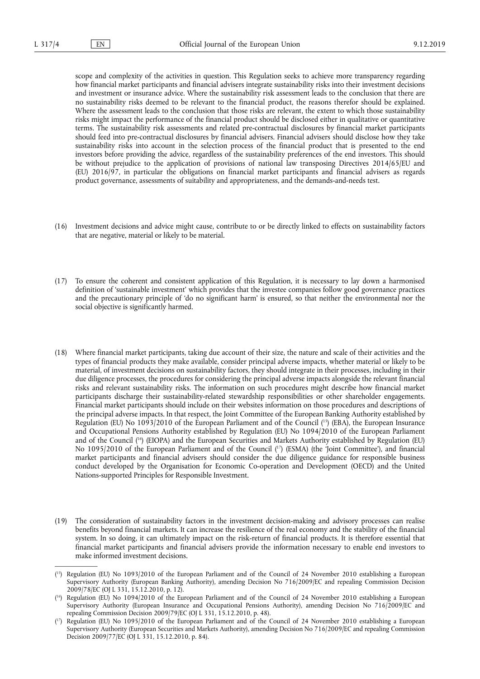scope and complexity of the activities in question. This Regulation seeks to achieve more transparency regarding how financial market participants and financial advisers integrate sustainability risks into their investment decisions and investment or insurance advice. Where the sustainability risk assessment leads to the conclusion that there are no sustainability risks deemed to be relevant to the financial product, the reasons therefor should be explained. Where the assessment leads to the conclusion that those risks are relevant, the extent to which those sustainability risks might impact the performance of the financial product should be disclosed either in qualitative or quantitative terms. The sustainability risk assessments and related pre‐contractual disclosures by financial market participants should feed into pre‐contractual disclosures by financial advisers. Financial advisers should disclose how they take sustainability risks into account in the selection process of the financial product that is presented to the end investors before providing the advice, regardless of the sustainability preferences of the end investors. This should be without prejudice to the application of provisions of national law transposing Directives 2014/65/EU and (EU) 2016/97, in particular the obligations on financial market participants and financial advisers as regards product governance, assessments of suitability and appropriateness, and the demands-and-needs test.

- (16) Investment decisions and advice might cause, contribute to or be directly linked to effects on sustainability factors that are negative, material or likely to be material.
- (17) To ensure the coherent and consistent application of this Regulation, it is necessary to lay down a harmonised definition of 'sustainable investment' which provides that the investee companies follow good governance practices and the precautionary principle of 'do no significant harm' is ensured, so that neither the environmental nor the social objective is significantly harmed.
- (18) Where financial market participants, taking due account of their size, the nature and scale of their activities and the types of financial products they make available, consider principal adverse impacts, whether material or likely to be material, of investment decisions on sustainability factors, they should integrate in their processes, including in their due diligence processes, the procedures for considering the principal adverse impacts alongside the relevant financial risks and relevant sustainability risks. The information on such procedures might describe how financial market participants discharge their sustainability-related stewardship responsibilities or other shareholder engagements. Financial market participants should include on their websites information on those procedures and descriptions of the principal adverse impacts. In that respect, the Joint Committee of the European Banking Authority established by Regulation (EU) No 1093/2010 of the European Parliament and of the Council ( 15) (EBA), the European Insurance and Occupational Pensions Authority established by Regulation (EU) No 1094/2010 of the European Parliament and of the Council ( 16) (EIOPA) and the European Securities and Markets Authority established by Regulation (EU) No 1095/2010 of the European Parliament and of the Council ( 17) (ESMA) (the 'Joint Committee'), and financial market participants and financial advisers should consider the due diligence guidance for responsible business conduct developed by the Organisation for Economic Co-operation and Development (OECD) and the United Nations‐supported Principles for Responsible Investment.
- (19) The consideration of sustainability factors in the investment decision‐making and advisory processes can realise benefits beyond financial markets. It can increase the resilience of the real economy and the stability of the financial system. In so doing, it can ultimately impact on the risk-return of financial products. It is therefore essential that financial market participants and financial advisers provide the information necessary to enable end investors to make informed investment decisions.

<sup>(</sup> 15) Regulation (EU) No 1093/2010 of the European Parliament and of the Council of 24 November 2010 establishing a European Supervisory Authority (European Banking Authority), amending Decision No 716/2009/EC and repealing Commission Decision 2009/78/EC (OJ L 331, 15.12.2010, p. 12).

<sup>(</sup> 16) Regulation (EU) No 1094/2010 of the European Parliament and of the Council of 24 November 2010 establishing a European Supervisory Authority (European Insurance and Occupational Pensions Authority), amending Decision No 716/2009/EC and repealing Commission Decision 2009/79/EC (OJ L 331, 15.12.2010, p. 48).

<sup>(</sup> 17) Regulation (EU) No 1095/2010 of the European Parliament and of the Council of 24 November 2010 establishing a European Supervisory Authority (European Securities and Markets Authority), amending Decision No 716/2009/EC and repealing Commission Decision 2009/77/EC (OJ L 331, 15.12.2010, p. 84).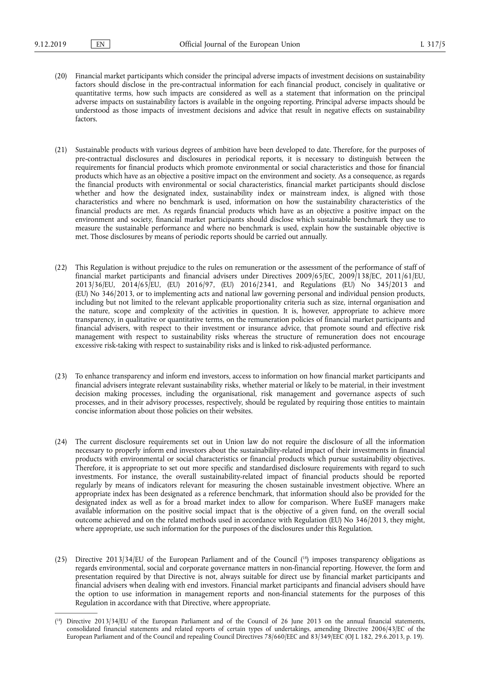- (20) Financial market participants which consider the principal adverse impacts of investment decisions on sustainability factors should disclose in the pre‐contractual information for each financial product, concisely in qualitative or quantitative terms, how such impacts are considered as well as a statement that information on the principal adverse impacts on sustainability factors is available in the ongoing reporting. Principal adverse impacts should be understood as those impacts of investment decisions and advice that result in negative effects on sustainability factors.
- (21) Sustainable products with various degrees of ambition have been developed to date. Therefore, for the purposes of pre‐contractual disclosures and disclosures in periodical reports, it is necessary to distinguish between the requirements for financial products which promote environmental or social characteristics and those for financial products which have as an objective a positive impact on the environment and society. As a consequence, as regards the financial products with environmental or social characteristics, financial market participants should disclose whether and how the designated index, sustainability index or mainstream index, is aligned with those characteristics and where no benchmark is used, information on how the sustainability characteristics of the financial products are met. As regards financial products which have as an objective a positive impact on the environment and society, financial market participants should disclose which sustainable benchmark they use to measure the sustainable performance and where no benchmark is used, explain how the sustainable objective is met. Those disclosures by means of periodic reports should be carried out annually.
- (22) This Regulation is without prejudice to the rules on remuneration or the assessment of the performance of staff of financial market participants and financial advisers under Directives 2009/65/EC, 2009/138/EC, 2011/61/EU, 2013/36/EU, 2014/65/EU, (EU) 2016/97, (EU) 2016/2341, and Regulations (EU) No 345/2013 and (EU) No 346/2013, or to implementing acts and national law governing personal and individual pension products, including but not limited to the relevant applicable proportionality criteria such as size, internal organisation and the nature, scope and complexity of the activities in question. It is, however, appropriate to achieve more transparency, in qualitative or quantitative terms, on the remuneration policies of financial market participants and financial advisers, with respect to their investment or insurance advice, that promote sound and effective risk management with respect to sustainability risks whereas the structure of remuneration does not encourage excessive risk-taking with respect to sustainability risks and is linked to risk-adjusted performance.
- (23) To enhance transparency and inform end investors, access to information on how financial market participants and financial advisers integrate relevant sustainability risks, whether material or likely to be material, in their investment decision making processes, including the organisational, risk management and governance aspects of such processes, and in their advisory processes, respectively, should be regulated by requiring those entities to maintain concise information about those policies on their websites.
- (24) The current disclosure requirements set out in Union law do not require the disclosure of all the information necessary to properly inform end investors about the sustainability-related impact of their investments in financial products with environmental or social characteristics or financial products which pursue sustainability objectives. Therefore, it is appropriate to set out more specific and standardised disclosure requirements with regard to such investments. For instance, the overall sustainability-related impact of financial products should be reported regularly by means of indicators relevant for measuring the chosen sustainable investment objective. Where an appropriate index has been designated as a reference benchmark, that information should also be provided for the designated index as well as for a broad market index to allow for comparison. Where EuSEF managers make available information on the positive social impact that is the objective of a given fund, on the overall social outcome achieved and on the related methods used in accordance with Regulation (EU) No 346/2013, they might, where appropriate, use such information for the purposes of the disclosures under this Regulation.
- (25) Directive 2013/34/EU of the European Parliament and of the Council  $(^{18})$  imposes transparency obligations as regards environmental, social and corporate governance matters in non‐financial reporting. However, the form and presentation required by that Directive is not, always suitable for direct use by financial market participants and financial advisers when dealing with end investors. Financial market participants and financial advisers should have the option to use information in management reports and non‐financial statements for the purposes of this Regulation in accordance with that Directive, where appropriate.

<sup>(</sup> 18) Directive 2013/34/EU of the European Parliament and of the Council of 26 June 2013 on the annual financial statements, consolidated financial statements and related reports of certain types of undertakings, amending Directive 2006/43/EC of the European Parliament and of the Council and repealing Council Directives 78/660/EEC and 83/349/EEC (OJ L 182, 29.6.2013, p. 19).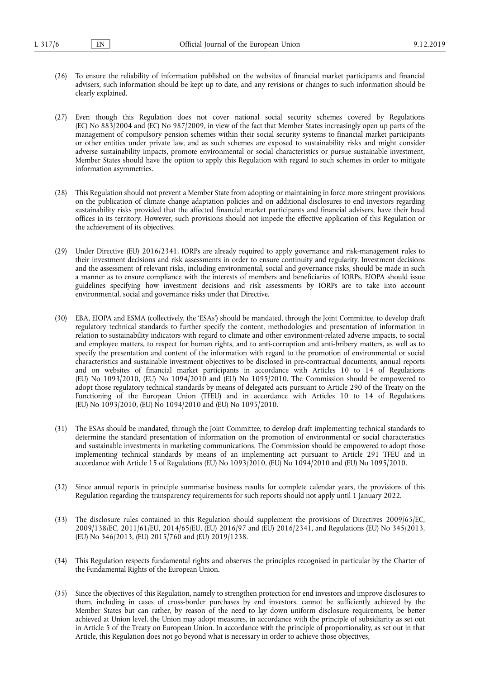- (26) To ensure the reliability of information published on the websites of financial market participants and financial advisers, such information should be kept up to date, and any revisions or changes to such information should be clearly explained.
- (27) Even though this Regulation does not cover national social security schemes covered by Regulations (EC) No 883/2004 and (EC) No 987/2009, in view of the fact that Member States increasingly open up parts of the management of compulsory pension schemes within their social security systems to financial market participants or other entities under private law, and as such schemes are exposed to sustainability risks and might consider adverse sustainability impacts, promote environmental or social characteristics or pursue sustainable investment, Member States should have the option to apply this Regulation with regard to such schemes in order to mitigate information asymmetries.
- (28) This Regulation should not prevent a Member State from adopting or maintaining in force more stringent provisions on the publication of climate change adaptation policies and on additional disclosures to end investors regarding sustainability risks provided that the affected financial market participants and financial advisers, have their head offices in its territory. However, such provisions should not impede the effective application of this Regulation or the achievement of its objectives.
- (29) Under Directive (EU) 2016/2341, IORPs are already required to apply governance and risk-management rules to their investment decisions and risk assessments in order to ensure continuity and regularity. Investment decisions and the assessment of relevant risks, including environmental, social and governance risks, should be made in such a manner as to ensure compliance with the interests of members and beneficiaries of IORPs. EIOPA should issue guidelines specifying how investment decisions and risk assessments by IORPs are to take into account environmental, social and governance risks under that Directive.
- (30) EBA, EIOPA and ESMA (collectively, the 'ESAs') should be mandated, through the Joint Committee, to develop draft regulatory technical standards to further specify the content, methodologies and presentation of information in relation to sustainability indicators with regard to climate and other environment‐related adverse impacts, to social and employee matters, to respect for human rights, and to anti‐corruption and anti‐bribery matters, as well as to specify the presentation and content of the information with regard to the promotion of environmental or social characteristics and sustainable investment objectives to be disclosed in pre‐contractual documents, annual reports and on websites of financial market participants in accordance with Articles 10 to 14 of Regulations (EU) No 1093/2010, (EU) No 1094/2010 and (EU) No 1095/2010. The Commission should be empowered to adopt those regulatory technical standards by means of delegated acts pursuant to Article 290 of the Treaty on the Functioning of the European Union (TFEU) and in accordance with Articles 10 to 14 of Regulations (EU) No 1093/2010, (EU) No 1094/2010 and (EU) No 1095/2010.
- (31) The ESAs should be mandated, through the Joint Committee, to develop draft implementing technical standards to determine the standard presentation of information on the promotion of environmental or social characteristics and sustainable investments in marketing communications. The Commission should be empowered to adopt those implementing technical standards by means of an implementing act pursuant to Article 291 TFEU and in accordance with Article 15 of Regulations (EU) No 1093/2010, (EU) No 1094/2010 and (EU) No 1095/2010.
- (32) Since annual reports in principle summarise business results for complete calendar years, the provisions of this Regulation regarding the transparency requirements for such reports should not apply until 1 January 2022.
- (33) The disclosure rules contained in this Regulation should supplement the provisions of Directives 2009/65/EC, 2009/138/EC, 2011/61/EU, 2014/65/EU, (EU) 2016/97 and (EU) 2016/2341, and Regulations (EU) No 345/2013, (EU) No 346/2013, (EU) 2015/760 and (EU) 2019/1238.
- (34) This Regulation respects fundamental rights and observes the principles recognised in particular by the Charter of the Fundamental Rights of the European Union.
- (35) Since the objectives of this Regulation, namely to strengthen protection for end investors and improve disclosures to them, including in cases of cross-border purchases by end investors, cannot be sufficiently achieved by the Member States but can rather, by reason of the need to lay down uniform disclosure requirements, be better achieved at Union level, the Union may adopt measures, in accordance with the principle of subsidiarity as set out in Article 5 of the Treaty on European Union. In accordance with the principle of proportionality, as set out in that Article, this Regulation does not go beyond what is necessary in order to achieve those objectives,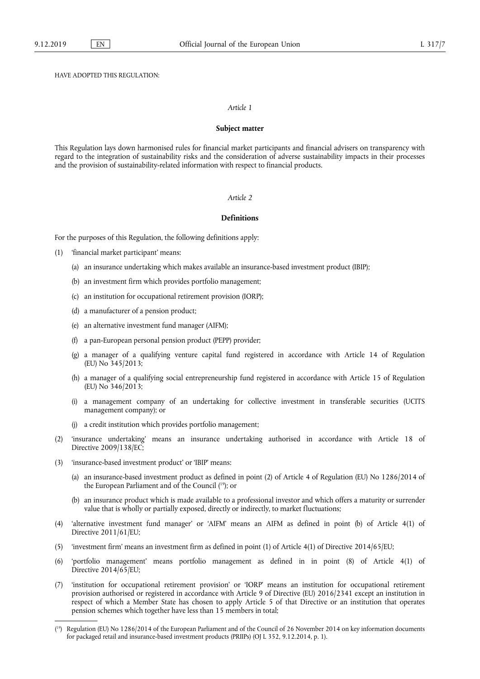HAVE ADOPTED THIS REGULATION:

## *Article 1*

#### **Subject matter**

This Regulation lays down harmonised rules for financial market participants and financial advisers on transparency with regard to the integration of sustainability risks and the consideration of adverse sustainability impacts in their processes and the provision of sustainability-related information with respect to financial products.

## *Article 2*

# **Definitions**

For the purposes of this Regulation, the following definitions apply:

- (1) 'financial market participant' means:
	- (a) an insurance undertaking which makes available an insurance‐based investment product (IBIP);
	- (b) an investment firm which provides portfolio management;
	- (c) an institution for occupational retirement provision (IORP);
	- (d) a manufacturer of a pension product;
	- (e) an alternative investment fund manager (AIFM);
	- (f) a pan‐European personal pension product (PEPP) provider;
	- (g) a manager of a qualifying venture capital fund registered in accordance with Article 14 of Regulation (EU) No 345/2013;
	- (h) a manager of a qualifying social entrepreneurship fund registered in accordance with Article 15 of Regulation (EU) No 346/2013;
	- (i) a management company of an undertaking for collective investment in transferable securities (UCITS management company); or
	- (j) a credit institution which provides portfolio management;
- (2) 'insurance undertaking' means an insurance undertaking authorised in accordance with Article 18 of Directive 2009/138/EC;
- (3) 'insurance‐based investment product' or 'IBIP' means:
	- (a) an insurance‐based investment product as defined in point (2) of Article 4 of Regulation (EU) No 1286/2014 of the European Parliament and of the Council ( 19); or
	- (b) an insurance product which is made available to a professional investor and which offers a maturity or surrender value that is wholly or partially exposed, directly or indirectly, to market fluctuations;
- (4) 'alternative investment fund manager' or 'AIFM' means an AIFM as defined in point (b) of Article 4(1) of Directive 2011/61/EU;
- (5) 'investment firm' means an investment firm as defined in point (1) of Article 4(1) of Directive 2014/65/EU;
- (6) 'portfolio management' means portfolio management as defined in in point (8) of Article 4(1) of Directive 2014/65/EU;
- (7) 'institution for occupational retirement provision' or 'IORP' means an institution for occupational retirement provision authorised or registered in accordance with Article 9 of Directive (EU) 2016/2341 except an institution in respect of which a Member State has chosen to apply Article 5 of that Directive or an institution that operates pension schemes which together have less than 15 members in total;

<sup>(</sup> 19) Regulation (EU) No 1286/2014 of the European Parliament and of the Council of 26 November 2014 on key information documents for packaged retail and insurance-based investment products (PRIIPs) (OJ L 352, 9.12.2014, p. 1).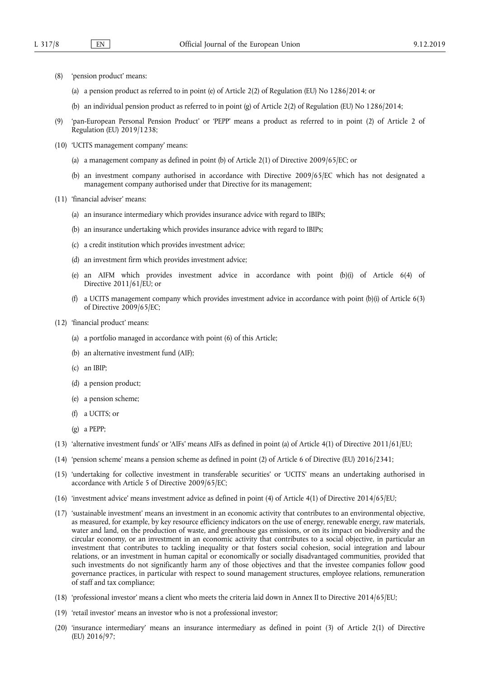- (8) 'pension product' means:
	- (a) a pension product as referred to in point (e) of Article 2(2) of Regulation (EU) No 1286/2014; or
	- (b) an individual pension product as referred to in point (g) of Article 2(2) of Regulation (EU) No 1286/2014;
- (9) 'pan‐European Personal Pension Product' or 'PEPP' means a product as referred to in point (2) of Article 2 of Regulation (EU) 2019/1238;
- (10) 'UCITS management company' means:
	- (a) a management company as defined in point (b) of Article 2(1) of Directive 2009/65/EC; or
	- (b) an investment company authorised in accordance with Directive 2009/65/EC which has not designated a management company authorised under that Directive for its management;
- (11) 'financial adviser' means:
	- (a) an insurance intermediary which provides insurance advice with regard to IBIPs;
	- (b) an insurance undertaking which provides insurance advice with regard to IBIPs;
	- (c) a credit institution which provides investment advice;
	- (d) an investment firm which provides investment advice;
	- (e) an AIFM which provides investment advice in accordance with point (b)(i) of Article 6(4) of Directive 2011/61/EU; or
	- (f) a UCITS management company which provides investment advice in accordance with point (b)(i) of Article 6(3) of Directive 2009/65/EC;
- (12) 'financial product' means:
	- (a) a portfolio managed in accordance with point (6) of this Article;
	- (b) an alternative investment fund (AIF);
	- (c) an IBIP;
	- (d) a pension product;
	- (e) a pension scheme;
	- (f) a UCITS; or
	- (g) a PEPP;
- (13) 'alternative investment funds' or 'AIFs' means AIFs as defined in point (a) of Article 4(1) of Directive 2011/61/EU;
- (14) 'pension scheme' means a pension scheme as defined in point (2) of Article 6 of Directive (EU) 2016/2341;
- (15) 'undertaking for collective investment in transferable securities' or 'UCITS' means an undertaking authorised in accordance with Article 5 of Directive 2009/65/EC;
- (16) 'investment advice' means investment advice as defined in point (4) of Article 4(1) of Directive 2014/65/EU;
- (17) 'sustainable investment' means an investment in an economic activity that contributes to an environmental objective, as measured, for example, by key resource efficiency indicators on the use of energy, renewable energy, raw materials, water and land, on the production of waste, and greenhouse gas emissions, or on its impact on biodiversity and the circular economy, or an investment in an economic activity that contributes to a social objective, in particular an investment that contributes to tackling inequality or that fosters social cohesion, social integration and labour relations, or an investment in human capital or economically or socially disadvantaged communities, provided that such investments do not significantly harm any of those objectives and that the investee companies follow good governance practices, in particular with respect to sound management structures, employee relations, remuneration of staff and tax compliance;
- (18) 'professional investor' means a client who meets the criteria laid down in Annex II to Directive 2014/65/EU;
- (19) 'retail investor' means an investor who is not a professional investor;
- (20) 'insurance intermediary' means an insurance intermediary as defined in point (3) of Article 2(1) of Directive (EU) 2016/97;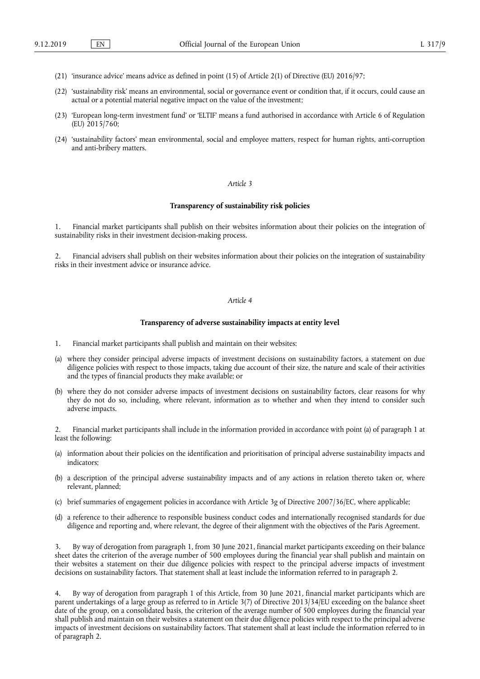- (21) 'insurance advice' means advice as defined in point (15) of Article 2(1) of Directive (EU) 2016/97;
- (22) 'sustainability risk' means an environmental, social or governance event or condition that, if it occurs, could cause an actual or a potential material negative impact on the value of the investment;
- (23) 'European long‐term investment fund' or 'ELTIF' means a fund authorised in accordance with Article 6 of Regulation (EU) 2015/760;
- (24) 'sustainability factors' mean environmental, social and employee matters, respect for human rights, anti-corruption and anti‐bribery matters.

# *Article 3*

#### **Transparency of sustainability risk policies**

1. Financial market participants shall publish on their websites information about their policies on the integration of sustainability risks in their investment decision‐making process.

2. Financial advisers shall publish on their websites information about their policies on the integration of sustainability risks in their investment advice or insurance advice.

#### *Article 4*

## **Transparency of adverse sustainability impacts at entity level**

- 1. Financial market participants shall publish and maintain on their websites:
- (a) where they consider principal adverse impacts of investment decisions on sustainability factors, a statement on due diligence policies with respect to those impacts, taking due account of their size, the nature and scale of their activities and the types of financial products they make available; or
- (b) where they do not consider adverse impacts of investment decisions on sustainability factors, clear reasons for why they do not do so, including, where relevant, information as to whether and when they intend to consider such adverse impacts.

2. Financial market participants shall include in the information provided in accordance with point (a) of paragraph 1 at least the following:

- (a) information about their policies on the identification and prioritisation of principal adverse sustainability impacts and indicators;
- (b) a description of the principal adverse sustainability impacts and of any actions in relation thereto taken or, where relevant, planned;
- (c) brief summaries of engagement policies in accordance with Article 3g of Directive 2007/36/EC, where applicable;
- (d) a reference to their adherence to responsible business conduct codes and internationally recognised standards for due diligence and reporting and, where relevant, the degree of their alignment with the objectives of the Paris Agreement.

3. By way of derogation from paragraph 1, from 30 June 2021, financial market participants exceeding on their balance sheet dates the criterion of the average number of 500 employees during the financial year shall publish and maintain on their websites a statement on their due diligence policies with respect to the principal adverse impacts of investment decisions on sustainability factors. That statement shall at least include the information referred to in paragraph 2.

4. By way of derogation from paragraph 1 of this Article, from 30 June 2021, financial market participants which are parent undertakings of a large group as referred to in Article 3(7) of Directive 2013/34/EU exceeding on the balance sheet date of the group, on a consolidated basis, the criterion of the average number of 500 employees during the financial year shall publish and maintain on their websites a statement on their due diligence policies with respect to the principal adverse impacts of investment decisions on sustainability factors. That statement shall at least include the information referred to in of paragraph 2.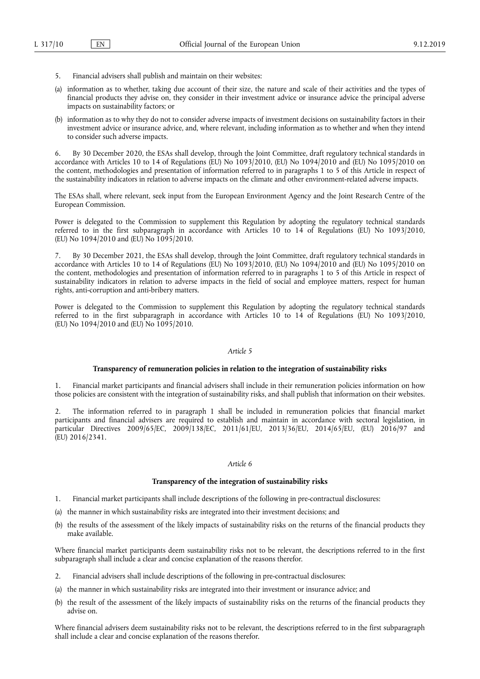- 5. Financial advisers shall publish and maintain on their websites:
- (a) information as to whether, taking due account of their size, the nature and scale of their activities and the types of financial products they advise on, they consider in their investment advice or insurance advice the principal adverse impacts on sustainability factors; or
- (b) information as to why they do not to consider adverse impacts of investment decisions on sustainability factors in their investment advice or insurance advice, and, where relevant, including information as to whether and when they intend to consider such adverse impacts.

6. By 30 December 2020, the ESAs shall develop, through the Joint Committee, draft regulatory technical standards in accordance with Articles 10 to 14 of Regulations (EU) No 1093/2010, (EU) No 1094/2010 and (EU) No 1095/2010 on the content, methodologies and presentation of information referred to in paragraphs 1 to 5 of this Article in respect of the sustainability indicators in relation to adverse impacts on the climate and other environment‐related adverse impacts.

The ESAs shall, where relevant, seek input from the European Environment Agency and the Joint Research Centre of the European Commission.

Power is delegated to the Commission to supplement this Regulation by adopting the regulatory technical standards referred to in the first subparagraph in accordance with Articles 10 to 14 of Regulations (EU) No 1093/2010, (EU) No 1094/2010 and (EU) No 1095/2010.

7. By 30 December 2021, the ESAs shall develop, through the Joint Committee, draft regulatory technical standards in accordance with Articles 10 to 14 of Regulations (EU) No 1093/2010, (EU) No 1094/2010 and (EU) No 1095/2010 on the content, methodologies and presentation of information referred to in paragraphs 1 to 5 of this Article in respect of sustainability indicators in relation to adverse impacts in the field of social and employee matters, respect for human rights, anti‐corruption and anti‐bribery matters.

Power is delegated to the Commission to supplement this Regulation by adopting the regulatory technical standards referred to in the first subparagraph in accordance with Articles 10 to 14 of Regulations (EU) No 1093/2010, (EU) No 1094/2010 and (EU) No 1095/2010.

# *Article 5*

#### **Transparency of remuneration policies in relation to the integration of sustainability risks**

1. Financial market participants and financial advisers shall include in their remuneration policies information on how those policies are consistent with the integration of sustainability risks, and shall publish that information on their websites.

2. The information referred to in paragraph 1 shall be included in remuneration policies that financial market participants and financial advisers are required to establish and maintain in accordance with sectoral legislation, in particular Directives 2009/65/EC, 2009/138/EC, 2011/61/EU, 2013/36/EU, 2014/65/EU, (EU) 2016/97 and (EU) 2016/2341.

# *Article 6*

## **Transparency of the integration of sustainability risks**

- 1. Financial market participants shall include descriptions of the following in pre‐contractual disclosures:
- (a) the manner in which sustainability risks are integrated into their investment decisions; and
- (b) the results of the assessment of the likely impacts of sustainability risks on the returns of the financial products they make available.

Where financial market participants deem sustainability risks not to be relevant, the descriptions referred to in the first subparagraph shall include a clear and concise explanation of the reasons therefor.

- 2. Financial advisers shall include descriptions of the following in pre-contractual disclosures:
- (a) the manner in which sustainability risks are integrated into their investment or insurance advice; and
- (b) the result of the assessment of the likely impacts of sustainability risks on the returns of the financial products they advise on.

Where financial advisers deem sustainability risks not to be relevant, the descriptions referred to in the first subparagraph shall include a clear and concise explanation of the reasons therefor.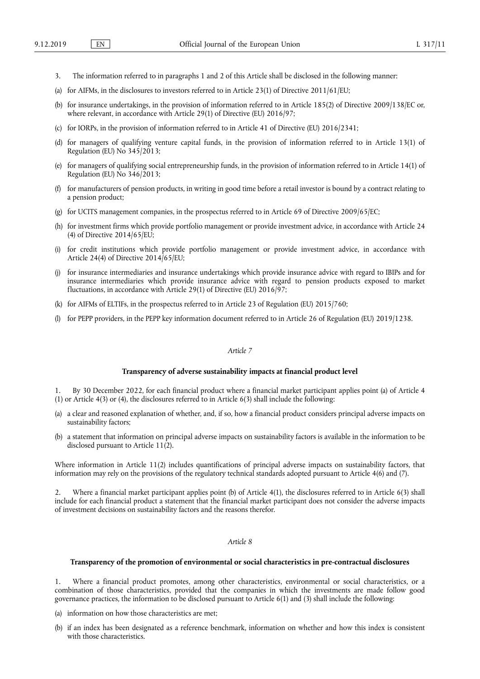- 3. The information referred to in paragraphs 1 and 2 of this Article shall be disclosed in the following manner:
- (a) for AIFMs, in the disclosures to investors referred to in Article 23(1) of Directive 2011/61/EU;
- (b) for insurance undertakings, in the provision of information referred to in Article 185(2) of Directive 2009/138/EC or, where relevant, in accordance with Article 29(1) of Directive (EU) 2016/97;
- (c) for IORPs, in the provision of information referred to in Article 41 of Directive (EU) 2016/2341;
- (d) for managers of qualifying venture capital funds, in the provision of information referred to in Article 13(1) of Regulation (EU) No 345/2013;
- (e) for managers of qualifying social entrepreneurship funds, in the provision of information referred to in Article 14(1) of Regulation (EU) No 346/2013;
- (f) for manufacturers of pension products, in writing in good time before a retail investor is bound by a contract relating to a pension product;
- (g) for UCITS management companies, in the prospectus referred to in Article 69 of Directive 2009/65/EC;
- (h) for investment firms which provide portfolio management or provide investment advice, in accordance with Article 24 (4) of Directive 2014/65/EU;
- (i) for credit institutions which provide portfolio management or provide investment advice, in accordance with Article 24(4) of Directive  $2014/65$ /EU;
- (j) for insurance intermediaries and insurance undertakings which provide insurance advice with regard to IBIPs and for insurance intermediaries which provide insurance advice with regard to pension products exposed to market fluctuations, in accordance with Article 29(1) of Directive (EU) 2016/97;
- (k) for AIFMs of ELTIFs, in the prospectus referred to in Article 23 of Regulation (EU) 2015/760;
- (l) for PEPP providers, in the PEPP key information document referred to in Article 26 of Regulation (EU) 2019/1238.

## *Article 7*

## **Transparency of adverse sustainability impacts at financial product level**

- 1. By 30 December 2022, for each financial product where a financial market participant applies point (a) of Article 4 (1) or Article 4(3) or (4), the disclosures referred to in Article 6(3) shall include the following:
- (a) a clear and reasoned explanation of whether, and, if so, how a financial product considers principal adverse impacts on sustainability factors;
- (b) a statement that information on principal adverse impacts on sustainability factors is available in the information to be disclosed pursuant to Article 11(2).

Where information in Article 11(2) includes quantifications of principal adverse impacts on sustainability factors, that information may rely on the provisions of the regulatory technical standards adopted pursuant to Article 4(6) and (7).

2. Where a financial market participant applies point (b) of Article 4(1), the disclosures referred to in Article 6(3) shall include for each financial product a statement that the financial market participant does not consider the adverse impacts of investment decisions on sustainability factors and the reasons therefor.

# *Article 8*

#### **Transparency of the promotion of environmental or social characteristics in pre‐contractual disclosures**

Where a financial product promotes, among other characteristics, environmental or social characteristics, or a combination of those characteristics, provided that the companies in which the investments are made follow good governance practices, the information to be disclosed pursuant to Article 6(1) and (3) shall include the following:

- (a) information on how those characteristics are met;
- (b) if an index has been designated as a reference benchmark, information on whether and how this index is consistent with those characteristics.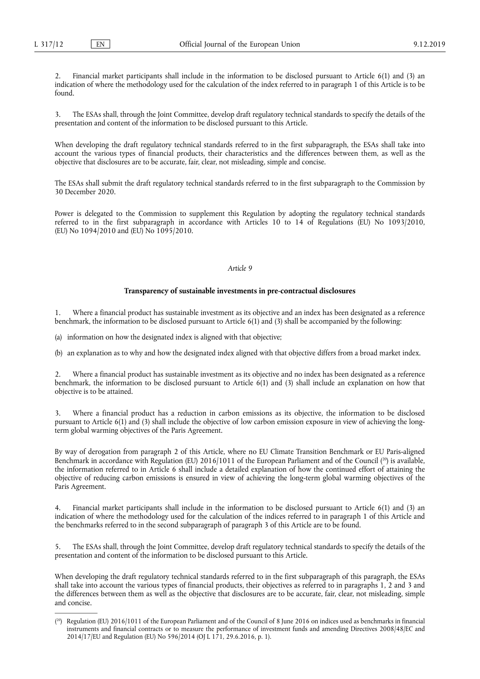2. Financial market participants shall include in the information to be disclosed pursuant to Article 6(1) and (3) an indication of where the methodology used for the calculation of the index referred to in paragraph 1 of this Article is to be found.

3. The ESAs shall, through the Joint Committee, develop draft regulatory technical standards to specify the details of the presentation and content of the information to be disclosed pursuant to this Article.

When developing the draft regulatory technical standards referred to in the first subparagraph, the ESAs shall take into account the various types of financial products, their characteristics and the differences between them, as well as the objective that disclosures are to be accurate, fair, clear, not misleading, simple and concise.

The ESAs shall submit the draft regulatory technical standards referred to in the first subparagraph to the Commission by 30 December 2020.

Power is delegated to the Commission to supplement this Regulation by adopting the regulatory technical standards referred to in the first subparagraph in accordance with Articles 10 to 14 of Regulations (EU) No 1093/2010, (EU) No 1094/2010 and (EU) No 1095/2010.

# *Article 9*

## **Transparency of sustainable investments in pre‐contractual disclosures**

1. Where a financial product has sustainable investment as its objective and an index has been designated as a reference benchmark, the information to be disclosed pursuant to Article 6(1) and (3) shall be accompanied by the following:

(a) information on how the designated index is aligned with that objective;

(b) an explanation as to why and how the designated index aligned with that objective differs from a broad market index.

Where a financial product has sustainable investment as its objective and no index has been designated as a reference benchmark, the information to be disclosed pursuant to Article 6(1) and (3) shall include an explanation on how that objective is to be attained.

3. Where a financial product has a reduction in carbon emissions as its objective, the information to be disclosed pursuant to Article 6(1) and (3) shall include the objective of low carbon emission exposure in view of achieving the longterm global warming objectives of the Paris Agreement.

By way of derogation from paragraph 2 of this Article, where no EU Climate Transition Benchmark or EU Paris‐aligned Benchmark in accordance with Regulation (EU) 2016/1011 of the European Parliament and of the Council ( 20) is available, the information referred to in Article 6 shall include a detailed explanation of how the continued effort of attaining the objective of reducing carbon emissions is ensured in view of achieving the long‐term global warming objectives of the Paris Agreement.

4. Financial market participants shall include in the information to be disclosed pursuant to Article 6(1) and (3) an indication of where the methodology used for the calculation of the indices referred to in paragraph 1 of this Article and the benchmarks referred to in the second subparagraph of paragraph 3 of this Article are to be found.

5. The ESAs shall, through the Joint Committee, develop draft regulatory technical standards to specify the details of the presentation and content of the information to be disclosed pursuant to this Article.

When developing the draft regulatory technical standards referred to in the first subparagraph of this paragraph, the ESAs shall take into account the various types of financial products, their objectives as referred to in paragraphs 1, 2 and 3 and the differences between them as well as the objective that disclosures are to be accurate, fair, clear, not misleading, simple and concise.

<sup>(</sup> 20) Regulation (EU) 2016/1011 of the European Parliament and of the Council of 8 June 2016 on indices used as benchmarks in financial instruments and financial contracts or to measure the performance of investment funds and amending Directives 2008/48/EC and 2014/17/EU and Regulation (EU) No 596/2014 (OJ L 171, 29.6.2016, p. 1).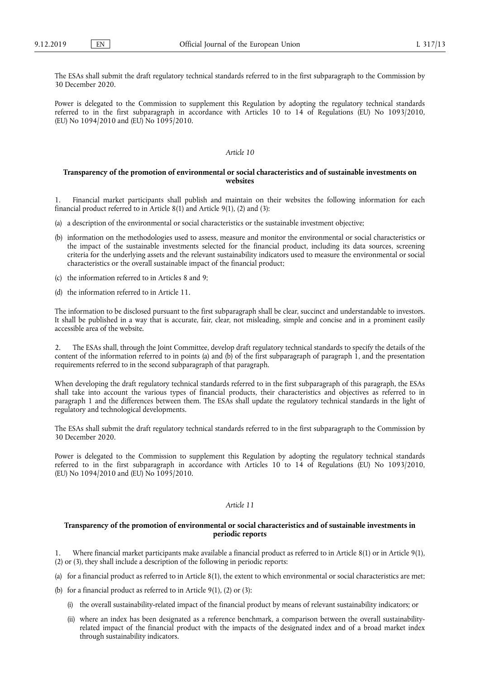The ESAs shall submit the draft regulatory technical standards referred to in the first subparagraph to the Commission by 30 December 2020.

Power is delegated to the Commission to supplement this Regulation by adopting the regulatory technical standards referred to in the first subparagraph in accordance with Articles 10 to 14 of Regulations (EU) No 1093/2010, (EU) No 1094/2010 and (EU) No 1095/2010.

#### *Article 10*

# **Transparency of the promotion of environmental or social characteristics and of sustainable investments on websites**

1. Financial market participants shall publish and maintain on their websites the following information for each financial product referred to in Article 8(1) and Article 9(1), (2) and (3):

- (a) a description of the environmental or social characteristics or the sustainable investment objective;
- (b) information on the methodologies used to assess, measure and monitor the environmental or social characteristics or the impact of the sustainable investments selected for the financial product, including its data sources, screening criteria for the underlying assets and the relevant sustainability indicators used to measure the environmental or social characteristics or the overall sustainable impact of the financial product;
- (c) the information referred to in Articles 8 and 9;
- (d) the information referred to in Article 11.

The information to be disclosed pursuant to the first subparagraph shall be clear, succinct and understandable to investors. It shall be published in a way that is accurate, fair, clear, not misleading, simple and concise and in a prominent easily accessible area of the website.

2. The ESAs shall, through the Joint Committee, develop draft regulatory technical standards to specify the details of the content of the information referred to in points (a) and (b) of the first subparagraph of paragraph  $\hat{1}$ , and the presentation requirements referred to in the second subparagraph of that paragraph.

When developing the draft regulatory technical standards referred to in the first subparagraph of this paragraph, the ESAs shall take into account the various types of financial products, their characteristics and objectives as referred to in paragraph 1 and the differences between them. The ESAs shall update the regulatory technical standards in the light of regulatory and technological developments.

The ESAs shall submit the draft regulatory technical standards referred to in the first subparagraph to the Commission by 30 December 2020.

Power is delegated to the Commission to supplement this Regulation by adopting the regulatory technical standards referred to in the first subparagraph in accordance with Articles 10 to 14 of Regulations (EU) No 1093/2010, (EU) No 1094/2010 and (EU) No 1095/2010.

## *Article 11*

# **Transparency of the promotion of environmental or social characteristics and of sustainable investments in periodic reports**

1. Where financial market participants make available a financial product as referred to in Article 8(1) or in Article 9(1), (2) or (3), they shall include a description of the following in periodic reports:

- (a) for a financial product as referred to in Article 8(1), the extent to which environmental or social characteristics are met;
- (b) for a financial product as referred to in Article 9(1), (2) or (3):
	- (i) the overall sustainability‐related impact of the financial product by means of relevant sustainability indicators; or
	- (ii) where an index has been designated as a reference benchmark, a comparison between the overall sustainabilityrelated impact of the financial product with the impacts of the designated index and of a broad market index through sustainability indicators.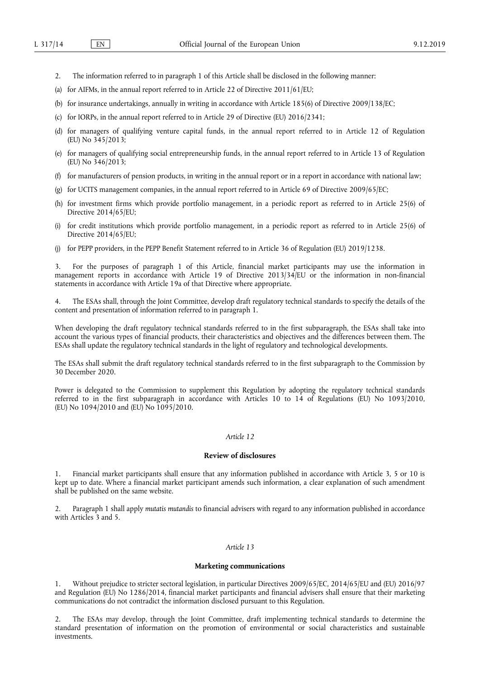- 2. The information referred to in paragraph 1 of this Article shall be disclosed in the following manner:
- (a) for AIFMs, in the annual report referred to in Article 22 of Directive 2011/61/EU;
- (b) for insurance undertakings, annually in writing in accordance with Article 185(6) of Directive 2009/138/EC;
- (c) for IORPs, in the annual report referred to in Article 29 of Directive (EU) 2016/2341;
- (d) for managers of qualifying venture capital funds, in the annual report referred to in Article 12 of Regulation (EU) No 345/2013;
- (e) for managers of qualifying social entrepreneurship funds, in the annual report referred to in Article 13 of Regulation (EU) No 346/2013;
- (f) for manufacturers of pension products, in writing in the annual report or in a report in accordance with national law;
- (g) for UCITS management companies, in the annual report referred to in Article 69 of Directive 2009/65/EC;
- (h) for investment firms which provide portfolio management, in a periodic report as referred to in Article 25(6) of Directive 2014/65/EU;
- (i) for credit institutions which provide portfolio management, in a periodic report as referred to in Article 25(6) of Directive 2014/65/EU;
- (j) for PEPP providers, in the PEPP Benefit Statement referred to in Article 36 of Regulation (EU) 2019/1238.

3. For the purposes of paragraph 1 of this Article, financial market participants may use the information in management reports in accordance with Article 19 of Directive 2013/34/EU or the information in non-financial statements in accordance with Article 19a of that Directive where appropriate.

The ESAs shall, through the Joint Committee, develop draft regulatory technical standards to specify the details of the content and presentation of information referred to in paragraph 1.

When developing the draft regulatory technical standards referred to in the first subparagraph, the ESAs shall take into account the various types of financial products, their characteristics and objectives and the differences between them. The ESAs shall update the regulatory technical standards in the light of regulatory and technological developments.

The ESAs shall submit the draft regulatory technical standards referred to in the first subparagraph to the Commission by 30 December 2020.

Power is delegated to the Commission to supplement this Regulation by adopting the regulatory technical standards referred to in the first subparagraph in accordance with Articles 10 to 14 of Regulations (EU) No 1093/2010, (EU) No 1094/2010 and (EU) No 1095/2010.

## *Article 12*

# **Review of disclosures**

1. Financial market participants shall ensure that any information published in accordance with Article 3, 5 or 10 is kept up to date. Where a financial market participant amends such information, a clear explanation of such amendment shall be published on the same website.

2. Paragraph 1 shall apply *mutatis mutandis* to financial advisers with regard to any information published in accordance with Articles 3 and 5.

#### *Article 13*

#### **Marketing communications**

1. Without prejudice to stricter sectoral legislation, in particular Directives 2009/65/EC, 2014/65/EU and (EU) 2016/97 and Regulation (EU) No 1286/2014, financial market participants and financial advisers shall ensure that their marketing communications do not contradict the information disclosed pursuant to this Regulation.

2. The ESAs may develop, through the Joint Committee, draft implementing technical standards to determine the standard presentation of information on the promotion of environmental or social characteristics and sustainable investments.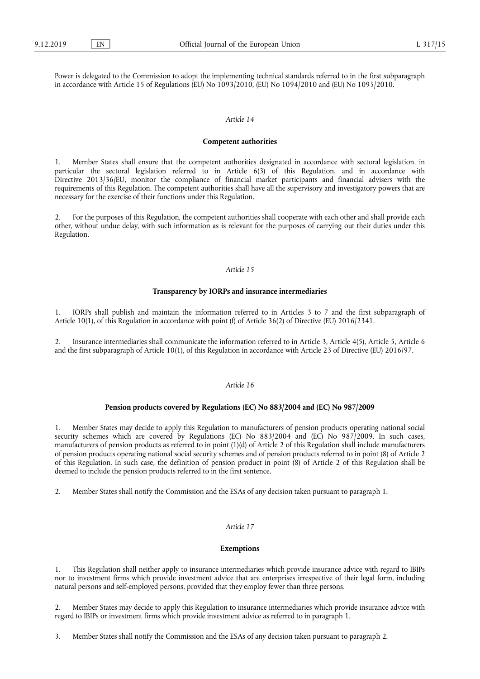Power is delegated to the Commission to adopt the implementing technical standards referred to in the first subparagraph in accordance with Article 15 of Regulations (EU) No 1093/2010, (EU) No 1094/2010 and (EU) No 1095/2010.

#### *Article 14*

## **Competent authorities**

1. Member States shall ensure that the competent authorities designated in accordance with sectoral legislation, in particular the sectoral legislation referred to in Article 6(3) of this Regulation, and in accordance with Directive 2013/36/EU, monitor the compliance of financial market participants and financial advisers with the requirements of this Regulation. The competent authorities shall have all the supervisory and investigatory powers that are necessary for the exercise of their functions under this Regulation.

2. For the purposes of this Regulation, the competent authorities shall cooperate with each other and shall provide each other, without undue delay, with such information as is relevant for the purposes of carrying out their duties under this Regulation.

# *Article 15*

#### **Transparency by IORPs and insurance intermediaries**

1. IORPs shall publish and maintain the information referred to in Articles 3 to 7 and the first subparagraph of Article 10(1), of this Regulation in accordance with point (f) of Article 36(2) of Directive (EU) 2016/2341.

2. Insurance intermediaries shall communicate the information referred to in Article 3, Article 4(5), Article 5, Article 6 and the first subparagraph of Article 10(1), of this Regulation in accordance with Article 23 of Directive (EU) 2016/97.

# *Article 16*

#### **Pension products covered by Regulations (EC) No 883/2004 and (EC) No 987/2009**

Member States may decide to apply this Regulation to manufacturers of pension products operating national social security schemes which are covered by Regulations (EC) No 883/2004 and (EC) No 987/2009. In such cases, manufacturers of pension products as referred to in point (1)(d) of Article 2 of this Regulation shall include manufacturers of pension products operating national social security schemes and of pension products referred to in point (8) of Article 2 of this Regulation. In such case, the definition of pension product in point (8) of Article 2 of this Regulation shall be deemed to include the pension products referred to in the first sentence.

2. Member States shall notify the Commission and the ESAs of any decision taken pursuant to paragraph 1.

## *Article 17*

#### **Exemptions**

1. This Regulation shall neither apply to insurance intermediaries which provide insurance advice with regard to IBIPs nor to investment firms which provide investment advice that are enterprises irrespective of their legal form, including natural persons and self‐employed persons, provided that they employ fewer than three persons.

2. Member States may decide to apply this Regulation to insurance intermediaries which provide insurance advice with regard to IBIPs or investment firms which provide investment advice as referred to in paragraph 1.

3. Member States shall notify the Commission and the ESAs of any decision taken pursuant to paragraph 2.